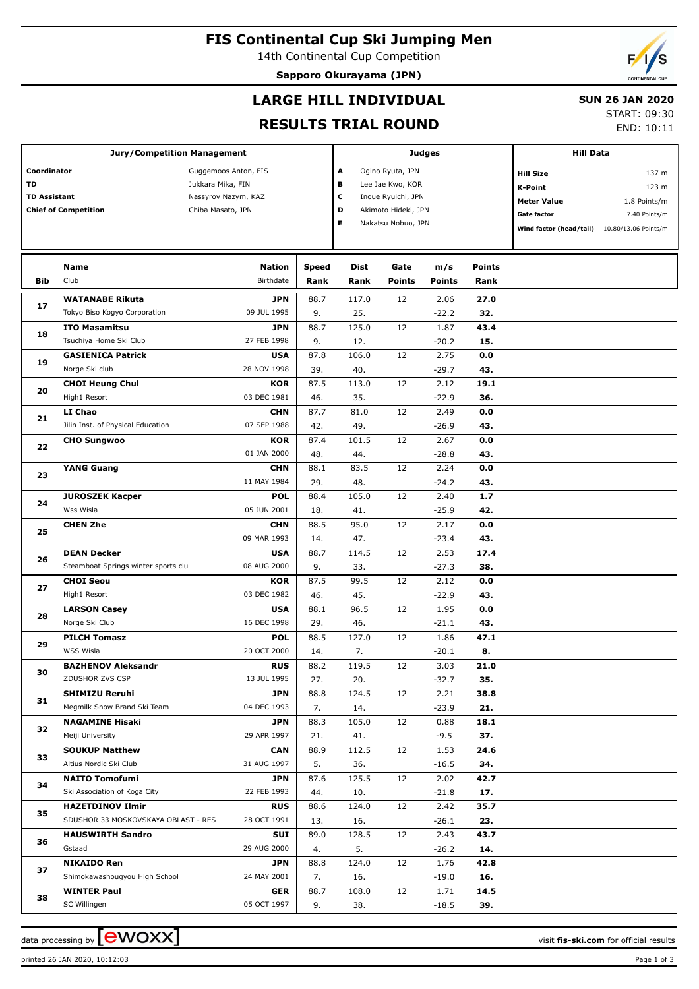# **FIS Continental Cup Ski Jumping Men**

14th Continental Cup Competition

**Sapporo Okurayama (JPN)**



## **LARGE HILL INDIVIDUAL**

#### **SUN 26 JAN 2020**

## **RESULTS TRIAL ROUND**

START: 09:30 END: 10:11

|                     |                                     |                           |             |                  |                                           |                  | <b>Hill Data</b>        |                      |               |
|---------------------|-------------------------------------|---------------------------|-------------|------------------|-------------------------------------------|------------------|-------------------------|----------------------|---------------|
|                     | <b>Jury/Competition Management</b>  |                           |             | Judges           |                                           |                  |                         |                      |               |
| Coordinator         |                                     | Guggemoos Anton, FIS      | A           | Ogino Ryuta, JPN |                                           | <b>Hill Size</b> | 137 m                   |                      |               |
| TD                  |                                     | Jukkara Mika, FIN         | в           | Lee Jae Kwo, KOR |                                           | K-Point          | 123 m                   |                      |               |
| <b>TD Assistant</b> |                                     | Nassyrov Nazym, KAZ       |             | с                | Inoue Ryuichi, JPN                        |                  |                         | <b>Meter Value</b>   | 1.8 Points/m  |
|                     | <b>Chief of Competition</b>         | Chiba Masato, JPN         |             | D<br>Е           | Akimoto Hideki, JPN<br>Nakatsu Nobuo, JPN |                  |                         | Gate factor          | 7.40 Points/m |
|                     |                                     |                           |             |                  |                                           |                  | Wind factor (head/tail) | 10.80/13.06 Points/m |               |
|                     |                                     |                           |             |                  |                                           |                  |                         |                      |               |
|                     | <b>Name</b>                         | <b>Nation</b>             | Speed       | Dist             | Gate                                      | m/s              | <b>Points</b>           |                      |               |
| <b>Bib</b>          | Club                                | Birthdate                 | Rank        | Rank             | <b>Points</b>                             | <b>Points</b>    | Rank                    |                      |               |
|                     | <b>WATANABE Rikuta</b>              | <b>JPN</b>                | 88.7        | 117.0            | 12                                        | 2.06             | 27.0                    |                      |               |
| 17                  | Tokyo Biso Kogyo Corporation        | 09 JUL 1995               | 9.          | 25.              |                                           | $-22.2$          | 32.                     |                      |               |
|                     | <b>ITO Masamitsu</b>                | <b>JPN</b>                | 88.7        | 125.0            | 12                                        | 1.87             | 43.4                    |                      |               |
| 18                  | Tsuchiya Home Ski Club              | 27 FEB 1998               | 9.          | 12.              |                                           | $-20.2$          | 15.                     |                      |               |
|                     | <b>GASIENICA Patrick</b>            | <b>USA</b>                | 87.8        | 106.0            | 12                                        | 2.75             | 0.0                     |                      |               |
| 19                  | Norge Ski club                      | 28 NOV 1998               | 39.         | 40.              |                                           | $-29.7$          | 43.                     |                      |               |
|                     | <b>CHOI Heung Chul</b>              | <b>KOR</b>                | 87.5        | 113.0            | 12                                        | 2.12             | 19.1                    |                      |               |
| 20                  | High1 Resort                        | 03 DEC 1981               | 46.         | 35.              |                                           | $-22.9$          | 36.                     |                      |               |
|                     | LI Chao                             | <b>CHN</b>                | 87.7        | 81.0             | 12                                        | 2.49             | 0.0                     |                      |               |
| 21                  | Jilin Inst. of Physical Education   | 07 SEP 1988               | 42.         | 49.              |                                           | $-26.9$          | 43.                     |                      |               |
| 22                  | <b>CHO Sungwoo</b>                  | <b>KOR</b>                | 87.4        | 101.5            | 12                                        | 2.67             | 0.0                     |                      |               |
|                     |                                     | 01 JAN 2000               | 48.         | 44.              |                                           | $-28.8$          | 43.                     |                      |               |
| 23                  | <b>YANG Guang</b>                   | <b>CHN</b>                | 88.1        | 83.5             | 12                                        | 2.24             | 0.0                     |                      |               |
|                     |                                     | 11 MAY 1984               | 29.         | 48.              |                                           | $-24.2$          | 43.                     |                      |               |
| 24                  | <b>JUROSZEK Kacper</b>              | <b>POL</b>                | 88.4        | 105.0            | 12                                        | 2.40             | 1.7                     |                      |               |
| 25                  | Wss Wisla                           | 05 JUN 2001               | 18.         | 41.              |                                           | $-25.9$          | 42.                     |                      |               |
|                     | <b>CHEN Zhe</b>                     | <b>CHN</b>                | 88.5        | 95.0             | 12                                        | 2.17             | 0.0                     |                      |               |
|                     |                                     | 09 MAR 1993               | 14.         | 47.              |                                           | $-23.4$          | 43.                     |                      |               |
| 26                  | <b>DEAN Decker</b>                  | <b>USA</b>                | 88.7        | 114.5            | 12                                        | 2.53             | 17.4                    |                      |               |
|                     | Steamboat Springs winter sports clu | 08 AUG 2000               | 9.          | 33.              |                                           | $-27.3$          | 38.                     |                      |               |
| 27                  | <b>CHOI Seou</b>                    | <b>KOR</b>                | 87.5        | 99.5             | 12                                        | 2.12             | 0.0                     |                      |               |
|                     | High1 Resort                        | 03 DEC 1982               | 46.         | 45.              |                                           | $-22.9$          | 43.                     |                      |               |
| 28                  | <b>LARSON Casey</b>                 | <b>USA</b>                | 88.1        | 96.5             | 12                                        | 1.95             | 0.0                     |                      |               |
|                     | Norge Ski Club                      | 16 DEC 1998<br><b>POL</b> | 29.         | 46.<br>127.0     | 12                                        | $-21.1$<br>1.86  | 43.<br>47.1             |                      |               |
| 29                  | <b>PILCH Tomasz</b><br>WSS Wisla    | 20 OCT 2000               | 88.5<br>14. | 7.               |                                           | $-20.1$          | 8.                      |                      |               |
|                     | <b>BAZHENOV Aleksandr</b>           | <b>RUS</b>                | 88.2        | 119.5            | 12                                        | 3.03             | 21.0                    |                      |               |
| 30                  | ZDUSHOR ZVS CSP                     | 13 JUL 1995               | 27.         | 20.              |                                           | $-32.7$          | 35.                     |                      |               |
|                     | <b>SHIMIZU Reruhi</b>               | <b>JPN</b>                | 88.8        | 124.5            | 12                                        | 2.21             | 38.8                    |                      |               |
| 31                  | Megmilk Snow Brand Ski Team         | 04 DEC 1993               | 7.          | 14.              |                                           | $-23.9$          | 21.                     |                      |               |
|                     | <b>NAGAMINE Hisaki</b>              | <b>JPN</b>                | 88.3        | 105.0            | 12                                        | 0.88             | 18.1                    |                      |               |
| 32                  | Meiji University                    | 29 APR 1997               | 21.         | 41.              |                                           | $-9.5$           | 37.                     |                      |               |
|                     | <b>SOUKUP Matthew</b>               | <b>CAN</b>                | 88.9        | 112.5            | 12                                        | 1.53             | 24.6                    |                      |               |
| 33                  | Altius Nordic Ski Club              | 31 AUG 1997               | 5.          | 36.              |                                           | $-16.5$          | 34.                     |                      |               |
|                     | <b>NAITO Tomofumi</b>               | <b>JPN</b>                | 87.6        | 125.5            | 12                                        | 2.02             | 42.7                    |                      |               |
| 34                  | Ski Association of Koga City        | 22 FEB 1993               | 44.         | 10.              |                                           | $-21.8$          | 17.                     |                      |               |
| 35                  | <b>HAZETDINOV Ilmir</b>             | <b>RUS</b>                | 88.6        | 124.0            | 12                                        | 2.42             | 35.7                    |                      |               |
|                     | SDUSHOR 33 MOSKOVSKAYA OBLAST - RES | 28 OCT 1991               | 13.         | 16.              |                                           | $-26.1$          | 23.                     |                      |               |
| 36                  | <b>HAUSWIRTH Sandro</b>             | SUI                       | 89.0        | 128.5            | 12                                        | 2.43             | 43.7                    |                      |               |
|                     | Gstaad                              | 29 AUG 2000               | 4.          | 5.               |                                           | $-26.2$          | 14.                     |                      |               |
| 37                  | <b>NIKAIDO Ren</b>                  | <b>JPN</b>                | 88.8        | 124.0            | 12                                        | 1.76             | 42.8                    |                      |               |
|                     | Shimokawashougyou High School       | 24 MAY 2001               | 7.          | 16.              |                                           | $-19.0$          | 16.                     |                      |               |
| 38                  | <b>WINTER Paul</b>                  | <b>GER</b>                | 88.7        | 108.0            | 12                                        | 1.71             | 14.5                    |                      |               |
|                     | SC Willingen                        | 05 OCT 1997               | 9.          | 38.              |                                           | $-18.5$          | 39.                     |                      |               |

data processing by **CWOXX**  $\blacksquare$ 

printed 26 JAN 2020, 10:12:03 Page 1 of 3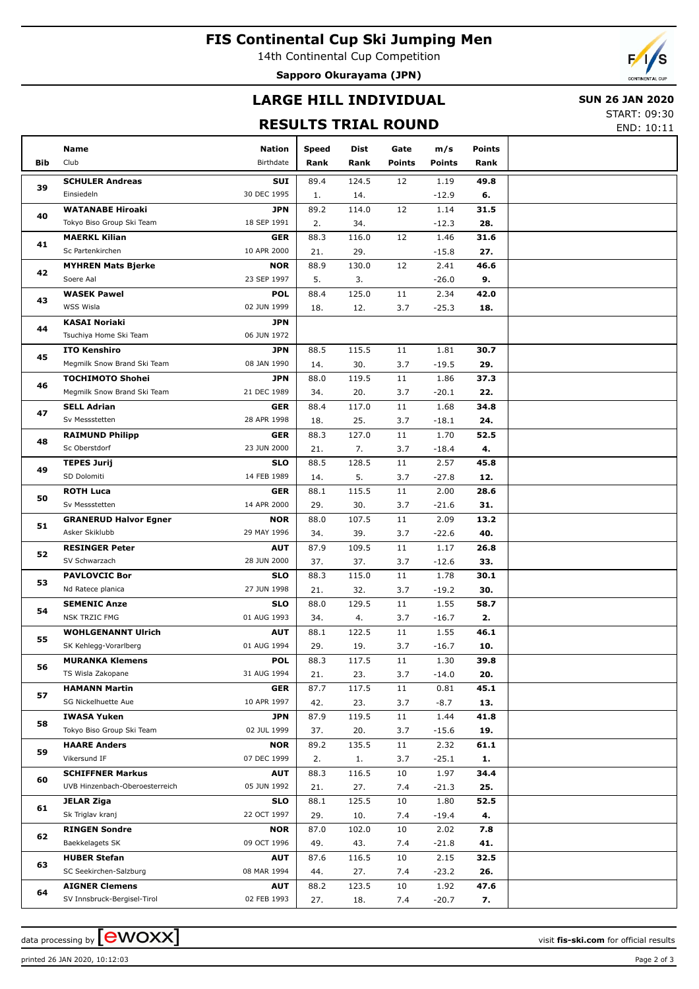# **FIS Continental Cup Ski Jumping Men**

14th Continental Cup Competition

**Sapporo Okurayama (JPN)**

## **LARGE HILL INDIVIDUAL**

### **SUN 26 JAN 2020**

## **RESULTS TRIAL ROUND**

START: 09:30 END: 10:11

|          |                                                        |                           |             |              |               |                 |               | LIVD. IV.II |
|----------|--------------------------------------------------------|---------------------------|-------------|--------------|---------------|-----------------|---------------|-------------|
|          | Name                                                   | <b>Nation</b>             | Speed       | Dist         | Gate          | m/s             | <b>Points</b> |             |
| Bib      | Club                                                   | Birthdate                 | Rank        | Rank         | <b>Points</b> | <b>Points</b>   | Rank          |             |
|          | <b>SCHULER Andreas</b>                                 | SUI                       | 89.4        | 124.5        | 12            | 1.19            | 49.8          |             |
| 39       | Einsiedeln                                             | 30 DEC 1995               | 1.          | 14.          |               | $-12.9$         | 6.            |             |
|          | <b>WATANABE Hiroaki</b>                                | <b>JPN</b>                | 89.2        | 114.0        | 12            | 1.14            | 31.5          |             |
| 40       | Tokyo Biso Group Ski Team                              | 18 SEP 1991               | 2.          | 34.          |               | $-12.3$         | 28.           |             |
| 41       | <b>MAERKL Kilian</b>                                   | GER                       | 88.3        | 116.0        | 12            | 1.46            | 31.6          |             |
|          | Sc Partenkirchen                                       | 10 APR 2000               | 21.         | 29.          |               | $-15.8$         | 27.           |             |
| 42       | <b>MYHREN Mats Bjerke</b>                              | <b>NOR</b>                | 88.9        | 130.0        | 12            | 2.41            | 46.6          |             |
|          | Soere Aal                                              | 23 SEP 1997               | 5.          | 3.           |               | $-26.0$         | 9.            |             |
| 43       | <b>WASEK Pawel</b>                                     | <b>POL</b>                | 88.4        | 125.0        | 11            | 2.34            | 42.0          |             |
|          | WSS Wisla                                              | 02 JUN 1999               | 18.         | 12.          | 3.7           | $-25.3$         | 18.           |             |
| 44       | <b>KASAI Noriaki</b>                                   | <b>JPN</b>                |             |              |               |                 |               |             |
|          | Tsuchiya Home Ski Team                                 | 06 JUN 1972               |             |              |               |                 |               |             |
| 45       | <b>ITO Kenshiro</b>                                    | <b>JPN</b>                | 88.5        | 115.5        | 11            | 1.81            | 30.7          |             |
|          | Megmilk Snow Brand Ski Team                            | 08 JAN 1990               | 14.         | 30.          | 3.7           | $-19.5$         | 29.           |             |
| 46       | <b>TOCHIMOTO Shohei</b><br>Megmilk Snow Brand Ski Team | <b>JPN</b><br>21 DEC 1989 | 88.0        | 119.5        | 11            | 1.86            | 37.3          |             |
|          |                                                        | <b>GER</b>                | 34.         | 20.<br>117.0 | 3.7           | $-20.1$         | 22.<br>34.8   |             |
| 47       | <b>SELL Adrian</b><br>Sv Messstetten                   | 28 APR 1998               | 88.4<br>18. | 25.          | 11<br>3.7     | 1.68<br>$-18.1$ | 24.           |             |
|          | <b>RAIMUND Philipp</b>                                 | <b>GER</b>                | 88.3        | 127.0        | 11            | 1.70            | 52.5          |             |
| 48       | Sc Oberstdorf                                          | 23 JUN 2000               | 21.         | 7.           | 3.7           | $-18.4$         | 4.            |             |
|          | <b>TEPES Jurij</b>                                     | <b>SLO</b>                | 88.5        | 128.5        | 11            | 2.57            | 45.8          |             |
| 49<br>50 | SD Dolomiti                                            | 14 FEB 1989               | 14.         | 5.           | 3.7           | $-27.8$         | 12.           |             |
|          | <b>ROTH Luca</b>                                       | <b>GER</b>                | 88.1        | 115.5        | 11            | 2.00            | 28.6          |             |
|          | Sv Messstetten                                         | 14 APR 2000               | 29.         | 30.          | 3.7           | $-21.6$         | 31.           |             |
| 51       | <b>GRANERUD Halvor Egner</b>                           | <b>NOR</b>                | 88.0        | 107.5        | 11            | 2.09            | 13.2          |             |
|          | Asker Skiklubb                                         | 29 MAY 1996               | 34.         | 39.          | 3.7           | $-22.6$         | 40.           |             |
|          | <b>RESINGER Peter</b>                                  | <b>AUT</b>                | 87.9        | 109.5        | 11            | 1.17            | 26.8          |             |
| 52       | SV Schwarzach                                          | 28 JUN 2000               | 37.         | 37.          | 3.7           | $-12.6$         | 33.           |             |
|          | <b>PAVLOVCIC Bor</b>                                   | <b>SLO</b>                | 88.3        | 115.0        | 11            | 1.78            | 30.1          |             |
| 53       | Nd Ratece planica                                      | 27 JUN 1998               | 21.         | 32.          | 3.7           | $-19.2$         | 30.           |             |
| 54       | <b>SEMENIC Anze</b>                                    | <b>SLO</b>                | 88.0        | 129.5        | 11            | 1.55            | 58.7          |             |
|          | <b>NSK TRZIC FMG</b>                                   | 01 AUG 1993               | 34.         | 4.           | 3.7           | $-16.7$         | 2.            |             |
| 55       | <b>WOHLGENANNT Ulrich</b>                              | <b>AUT</b>                | 88.1        | 122.5        | 11            | 1.55            | 46.1          |             |
|          | SK Kehlegg-Vorarlberg                                  | 01 AUG 1994               | 29.         | 19.          | 3.7           | $-16.7$         | 10.           |             |
| 56       | <b>MURANKA Klemens</b>                                 | <b>POL</b>                | 88.3        | 117.5        | 11            | 1.30            | 39.8          |             |
|          | TS Wisla Zakopane                                      | 31 AUG 1994               | 21.         | 23.          | 3.7           | $-14.0$         | 20.           |             |
| 57       | <b>HAMANN Martin</b>                                   | GER                       | 87.7        | 117.5        | 11            | 0.81            | 45.1          |             |
|          | SG Nickelhuette Aue                                    | 10 APR 1997               | 42.         | 23.          | 3.7           | $-8.7$          | 13.           |             |
| 58       | <b>IWASA Yuken</b><br>Tokyo Biso Group Ski Team        | <b>JPN</b><br>02 JUL 1999 | 87.9        | 119.5        | 11            | 1.44            | 41.8          |             |
|          |                                                        |                           | 37.         | 20.          | 3.7           | $-15.6$         | 19.           |             |
| 59       | <b>HAARE Anders</b><br>Vikersund IF                    | <b>NOR</b><br>07 DEC 1999 | 89.2        | 135.5        | 11<br>3.7     | 2.32<br>$-25.1$ | 61.1<br>1.    |             |
|          | <b>SCHIFFNER Markus</b>                                | <b>AUT</b>                | 2.<br>88.3  | 1.<br>116.5  | 10            | 1.97            | 34.4          |             |
| 60       | UVB Hinzenbach-Oberoesterreich                         | 05 JUN 1992               | 21.         | 27.          | 7.4           | $-21.3$         | 25.           |             |
|          | <b>JELAR Ziga</b>                                      | <b>SLO</b>                | 88.1        | 125.5        | 10            | 1.80            | 52.5          |             |
| 61<br>62 | Sk Triglav kranj                                       | 22 OCT 1997               | 29.         | 10.          | 7.4           | $-19.4$         | 4.            |             |
|          | <b>RINGEN Sondre</b>                                   | <b>NOR</b>                | 87.0        | 102.0        | 10            | 2.02            | 7.8           |             |
|          | Baekkelagets SK                                        | 09 OCT 1996               | 49.         | 43.          | 7.4           | $-21.8$         | 41.           |             |
|          | <b>HUBER Stefan</b>                                    | <b>AUT</b>                | 87.6        | 116.5        | 10            | 2.15            | 32.5          |             |
| 63       | SC Seekirchen-Salzburg                                 | 08 MAR 1994               | 44.         | 27.          | 7.4           | $-23.2$         | 26.           |             |
|          | <b>AIGNER Clemens</b>                                  | <b>AUT</b>                | 88.2        | 123.5        | 10            | 1.92            | 47.6          |             |
| 64       | SV Innsbruck-Bergisel-Tirol                            | 02 FEB 1993               | 27.         | 18.          | 7.4           | $-20.7$         | 7.            |             |
|          |                                                        |                           |             |              |               |                 |               |             |

data processing by **CWOXX**  $\blacksquare$